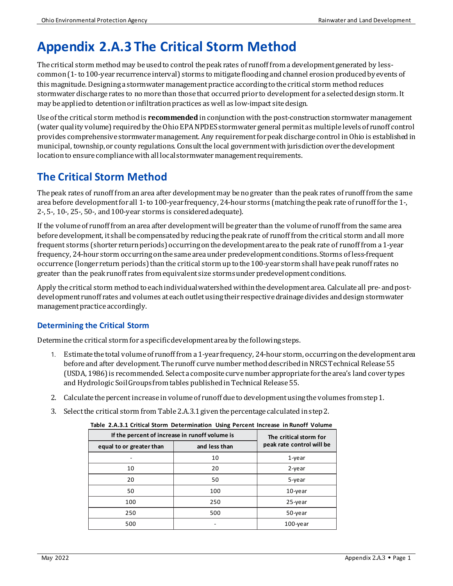# **Appendix 2.A.3 The Critical Storm Method**

The critical storm method may be used to control the peak rates of runoff from a development generated by lesscommon(1-to 100-year recurrence interval) storms to mitigate floodingand channel erosion produced by events of this magnitude. Designing a stormwater management practice according to the critical storm method reduces stormwater discharge rates to no more than those that occurred prior to development for a selected design storm. It may be applied to detention or infiltration practices as well as low-impact site design.

Use of the critical storm methodis **recommended** in conjunction with the post-construction stormwatermanagement (water quality volume) required by theOhio EPA NPDES stormwater general permit as multiple levels of runoff control provides comprehensive stormwater management. Any requirementfor peak discharge control in Ohio is established in municipal, township, or county regulations. Consult the local government with jurisdiction over the development location to ensure compliance with all local stormwater management requirements.

# **The Critical Storm Method**

The peak rates of runoff from an area after development may be no greater than the peak rates of runoff from the same area before development for all 1-to 100-year frequency, 24-hour storms (matchingthe peak rate of runoff for the 1-, 2-, 5-, 10-, 25-, 50-, and 100-year storms is considered adequate).

If the volume of runoff from an area after development will be greater than the volume of runoff from the same area before development, it shall be compensated by reducing thepeak rate of runoff from the critical storm and all more frequent storms (shorter return periods) occurring on the development area to the peak rate of runoff from a 1-year frequency, 24-hour storm occurring on the same area under predevelopment conditions. Storms of less-frequent occurrence (longer return periods) than the critical storm up to the 100-year storm shall have peak runoff rates no greater than the peak runoff rates from equivalent size storms under predevelopment conditions.

Apply the critical storm methodto each individual watershed within the development area. Calculate all pre- and postdevelopment runoff rates and volumes at each outlet using their respectivedrainage divides and design stormwater management practice accordingly.

### **Determining the Critical Storm**

Determine the critical storm for a specific development area by the following steps.

- 1. Estimate the total volume of runoff from a 1-year frequency, 24-hour storm, occurringon the development area before and after development. The runoff curve number method described in NRCS Technical Release 55 (USDA, 1986)is recommended. Select a composite curve number appropriate for the area's land cover types and Hydrologic Soil Groups from tables published in Technical Release 55.
- 2. Calculate the percent increase in volume of runoff due to development using the volumes fromstep 1.
- 3. Select the critical storm from Table2.A.3.1 given the percentage calculated in step 2.

| If the percent of increase in runoff volume is |               | The critical storm for    |
|------------------------------------------------|---------------|---------------------------|
| equal to or greater than                       | and less than | peak rate control will be |
|                                                | 10            | $1$ -year                 |
| 10                                             | 20            | 2-year                    |
| 20                                             | 50            | 5-year                    |
| 50                                             | 100           | $10$ -year                |
| 100                                            | 250           | 25-year                   |
| 250                                            | 500           | 50-year                   |
| 500                                            |               | 100-year                  |

#### **Table 2.A.3.1 Critical Storm Determination Using Percent Increase in Runoff Volume**